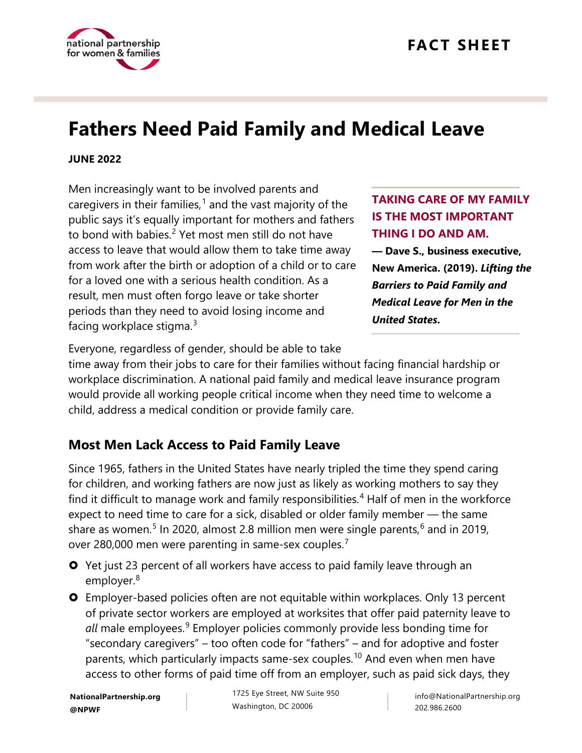

# **Fathers Need Paid Family and Medical Leave**

#### **JUNE 2022**

Men increasingly want to be involved parents and caregivers in their families, [1](#page-4-0) and the vast majority of the public says it's equally important for mothers and fathers to bond with babies. $2$  Yet most men still do not have access to leave that would allow them to take time away from work after the birth or adoption of a child or to care for a loved one with a serious health condition. As a result, men must often forgo leave or take shorter periods than they need to avoid losing income and facing workplace stigma. $^3$  $^3$ 

## **TAKING CARE OF MY FAMILY IS THE MOST IMPORTANT THING I DO AND AM.**

**— Dave S., business executive, New America. (2019).** *Lifting the Barriers to Paid Family and Medical Leave for Men in the United States***.**

Everyone, regardless of gender, should be able to take

time away from their jobs to care for their families without facing financial hardship or workplace discrimination. A national paid family and medical leave insurance program would provide all working people critical income when they need time to welcome a child, address a medical condition or provide family care.

# **Most Men Lack Access to Paid Family Leave**

Since 1965, fathers in the United States have nearly tripled the time they spend caring for children, and working fathers are now just as likely as working mothers to say they find it difficult to manage work and family responsibilities.<sup>[4](#page-4-3)</sup> Half of men in the workforce expect to need time to care for a sick, disabled or older family member — the same share as women.<sup>[5](#page-4-4)</sup> In 2020, almost 2.8 million men were single parents, $^6$  $^6$  and in 2019, over 280,000 men were parenting in same-sex couples.[7](#page-4-6)

- **O** Yet just 23 percent of all workers have access to paid family leave through an employer.<sup>[8](#page-4-7)</sup>
- Employer-based policies often are not equitable within workplaces. Only 13 percent of private sector workers are employed at worksites that offer paid paternity leave to all male employees.<sup>[9](#page-4-8)</sup> Employer policies commonly provide less bonding time for "secondary caregivers" – too often code for "fathers" – and for adoptive and foster parents, which particularly impacts same-sex couples.<sup>[10](#page-4-9)</sup> And even when men have access to other forms of paid time off from an employer, such as paid sick days, they

**NationalPartnership.org @NPWF**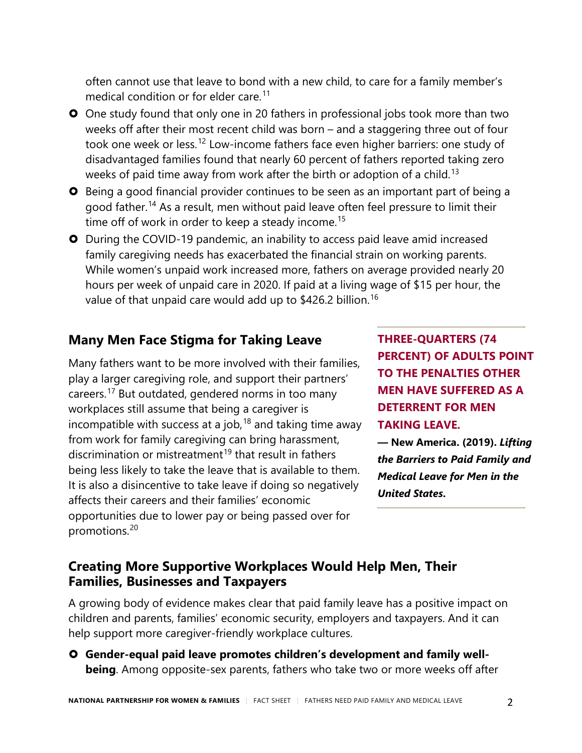often cannot use that leave to bond with a new child, to care for a family member's medical condition or for elder care. [11](#page-4-10)

- **O** One study found that only one in 20 fathers in professional jobs took more than two weeks off after their most recent child was born – and a staggering three out of four took one week or less.<sup>[12](#page-4-11)</sup> Low-income fathers face even higher barriers: one study of disadvantaged families found that nearly 60 percent of fathers reported taking zero weeks of paid time away from work after the birth or adoption of a child. $^{13}$  $^{13}$  $^{13}$
- **O** Being a good financial provider continues to be seen as an important part of being a good father. [14](#page-5-1) As a result, men without paid leave often feel pressure to limit their time off of work in order to keep a steady income.<sup>[15](#page-5-2)</sup>
- During the COVID-19 pandemic, an inability to access paid leave amid increased family caregiving needs has exacerbated the financial strain on working parents. While women's unpaid work increased more, fathers on average provided nearly 20 hours per week of unpaid care in 2020. If paid at a living wage of \$15 per hour, the value of that unpaid care would add up to  $$426.2$  billion.<sup>[16](#page-5-3)</sup>

## **Many Men Face Stigma for Taking Leave**

Many fathers want to be more involved with their families, play a larger caregiving role, and support their partners' careers.[17](#page-5-4) But outdated, gendered norms in too many workplaces still assume that being a caregiver is incompatible with success at a job,  $18$  and taking time away from work for family caregiving can bring harassment, discrimination or mistreatment<sup>[19](#page-5-6)</sup> that result in fathers being less likely to take the leave that is available to them. It is also a disincentive to take leave if doing so negatively affects their careers and their families' economic opportunities due to lower pay or being passed over for promotions.[20](#page-5-7)

**THREE-QUARTERS (74 PERCENT) OF ADULTS POINT TO THE PENALTIES OTHER MEN HAVE SUFFERED AS A DETERRENT FOR MEN TAKING LEAVE.** 

**— New America. (2019).** *Lifting the Barriers to Paid Family and Medical Leave for Men in the United States***.**

## **Creating More Supportive Workplaces Would Help Men, Their Families, Businesses and Taxpayers**

A growing body of evidence makes clear that paid family leave has a positive impact on children and parents, families' economic security, employers and taxpayers. And it can help support more caregiver-friendly workplace cultures.

 **Gender-equal paid leave promotes children's development and family wellbeing**. Among opposite-sex parents, fathers who take two or more weeks off after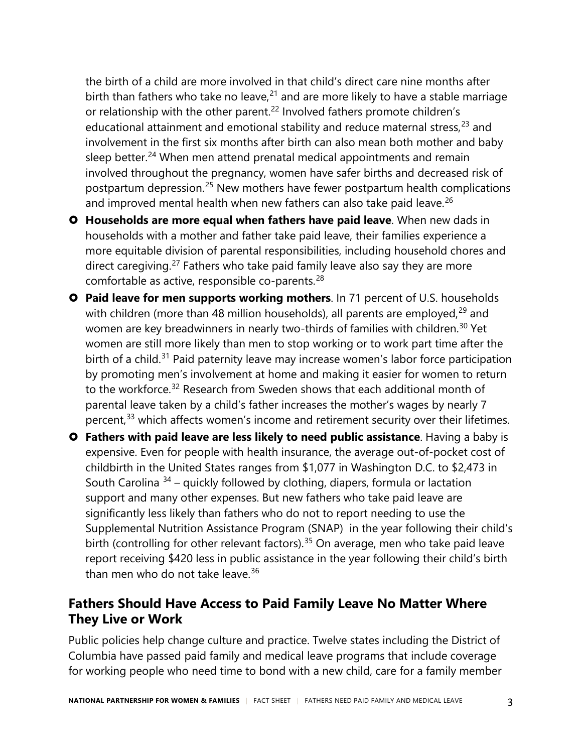the birth of a child are more involved in that child's direct care nine months after birth than fathers who take no leave,<sup>[21](#page-5-8)</sup> and are more likely to have a stable marriage or relationship with the other parent.<sup>[22](#page-5-9)</sup> Involved fathers promote children's educational attainment and emotional stability and reduce maternal stress,<sup>[23](#page-5-10)</sup> and involvement in the first six months after birth can also mean both mother and baby sleep better.<sup>[24](#page-5-11)</sup> When men attend prenatal medical appointments and remain involved throughout the pregnancy, women have safer births and decreased risk of postpartum depression.[25](#page-5-12) New mothers have fewer postpartum health complications and improved mental health when new fathers can also take paid leave.<sup>[26](#page-5-13)</sup>

- **Households are more equal when fathers have paid leave**. When new dads in households with a mother and father take paid leave, their families experience a more equitable division of parental responsibilities, including household chores and direct caregiving.<sup>[27](#page-5-14)</sup> Fathers who take paid family leave also say they are more comfortable as active, responsible co-parents.<sup>[28](#page-5-15)</sup>
- **Paid leave for men supports working mothers**. In 71 percent of U.S. households with children (more than 48 million households), all parents are employed,  $29$  and women are key breadwinners in nearly two-thirds of families with children.<sup>[30](#page-5-17)</sup> Yet women are still more likely than men to stop working or to work part time after the birth of a child.<sup>[31](#page-5-18)</sup> Paid paternity leave may increase women's labor force participation by promoting men's involvement at home and making it easier for women to return to the workforce.<sup>[32](#page-5-19)</sup> Research from Sweden shows that each additional month of parental leave taken by a child's father increases the mother's wages by nearly 7 percent,<sup>[33](#page-5-20)</sup> which affects women's income and retirement security over their lifetimes.
- **Fathers with paid leave are less likely to need public assistance**. Having a baby is expensive. Even for people with health insurance, the average out-of-pocket cost of childbirth in the United States ranges from \$1,077 in Washington D.C. to \$2,473 in South Carolina  $34$  – quickly followed by clothing, diapers, formula or lactation support and many other expenses. But new fathers who take paid leave are significantly less likely than fathers who do not to report needing to use the Supplemental Nutrition Assistance Program (SNAP) in the year following their child's birth (controlling for other relevant factors).<sup>[35](#page-6-0)</sup> On average, men who take paid leave report receiving \$420 less in public assistance in the year following their child's birth than men who do not take leave. $36$

## **Fathers Should Have Access to Paid Family Leave No Matter Where They Live or Work**

Public policies help change culture and practice. Twelve states including the District of Columbia have passed paid family and medical leave programs that include coverage for working people who need time to bond with a new child, care for a family member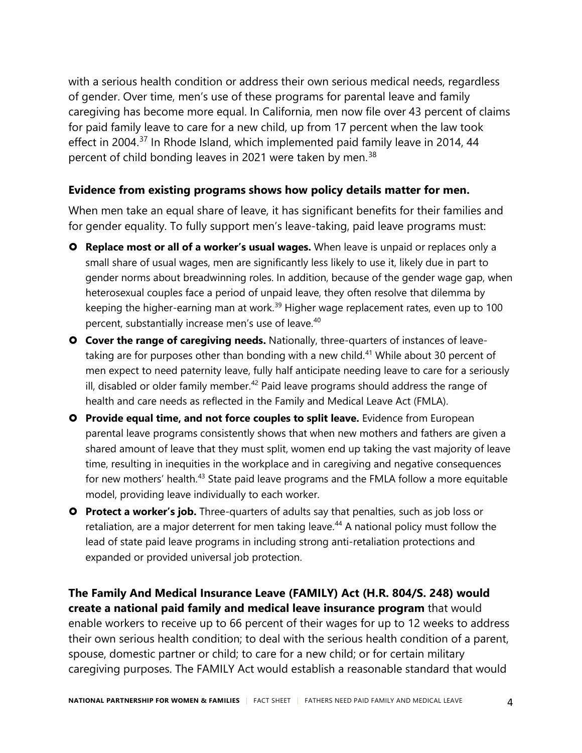with a serious health condition or address their own serious medical needs, regardless of gender. Over time, men's use of these programs for parental leave and family caregiving has become more equal. In California, men now file over 43 percent of claims for paid family leave to care for a new child, up from 17 percent when the law took effect in 2004.<sup>[37](#page-6-2)</sup> In Rhode Island, which implemented paid family leave in 2014, 44 percent of child bonding leaves in 2021 were taken by men.<sup>[38](#page-6-3)</sup>

#### **Evidence from existing programs shows how policy details matter for men.**

When men take an equal share of leave, it has significant benefits for their families and for gender equality. To fully support men's leave-taking, paid leave programs must:

- **Replace most or all of a worker's usual wages.** When leave is unpaid or replaces only a small share of usual wages, men are significantly less likely to use it, likely due in part to gender norms about breadwinning roles. In addition, because of the gender wage gap, when heterosexual couples face a period of unpaid leave, they often resolve that dilemma by keeping the higher-earning man at work.<sup>[39](#page-6-4)</sup> Higher wage replacement rates, even up to 100 percent, substantially increase men's use of leave.<sup>40</sup>
- **Cover the range of caregiving needs.** Nationally, three-quarters of instances of leave-taking are for purposes other than bonding with a new child.<sup>[41](#page-6-6)</sup> While about 30 percent of men expect to need paternity leave, fully half anticipate needing leave to care for a seriously ill, disabled or older family member. $42$  Paid leave programs should address the range of health and care needs as reflected in the Family and Medical Leave Act (FMLA).
- **Provide equal time, and not force couples to split leave.** Evidence from European parental leave programs consistently shows that when new mothers and fathers are given a shared amount of leave that they must split, women end up taking the vast majority of leave time, resulting in inequities in the workplace and in caregiving and negative consequences for new mothers' health.<sup>[43](#page-6-8)</sup> State paid leave programs and the FMLA follow a more equitable model, providing leave individually to each worker.
- **Protect a worker's job.** Three-quarters of adults say that penalties, such as job loss or retaliation, are a major deterrent for men taking leave.<sup>[44](#page-6-9)</sup> A national policy must follow the lead of state paid leave programs in including strong anti-retaliation protections and expanded or provided universal job protection.

**The Family And Medical Insurance Leave (FAMILY) Act (H.R. 804/S. 248) would create a national paid family and medical leave insurance program** that would enable workers to receive up to 66 percent of their wages for up to 12 weeks to address their own serious health condition; to deal with the serious health condition of a parent, spouse, domestic partner or child; to care for a new child; or for certain military caregiving purposes. The FAMILY Act would establish a reasonable standard that would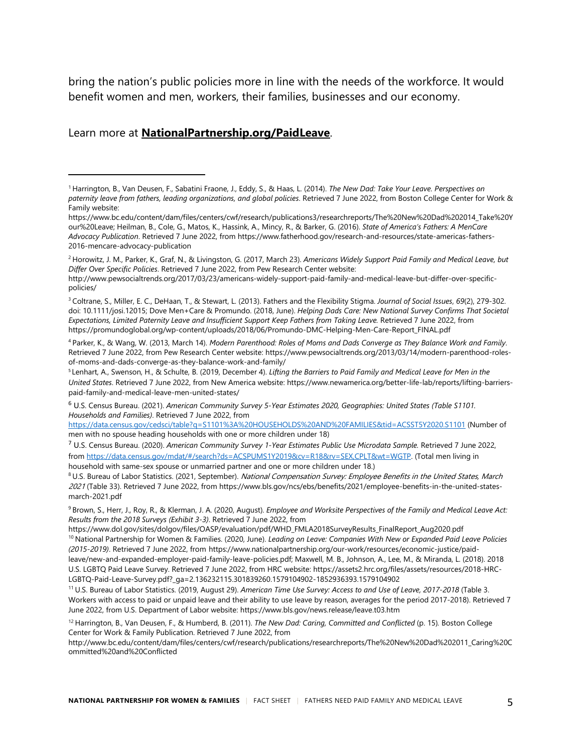bring the nation's public policies more in line with the needs of the workforce. It would benefit women and men, workers, their families, businesses and our economy.

#### Learn more at **[NationalPartnership.org/PaidLeave](https://www.nationalpartnership.org/our-work/economic-justice/paid-leave.html)**.

<span id="page-4-3"></span>4 Parker, K., & Wang, W. (2013, March 14). *Modern Parenthood: Roles of Moms and Dads Converge as They Balance Work and Family*. Retrieved 7 June 2022, from Pew Research Center website: https://www.pewsocialtrends.org/2013/03/14/modern-parenthood-rolesof-moms-and-dads-converge-as-they-balance-work-and-family/

<span id="page-4-4"></span><sup>5</sup>Lenhart, A., Swenson, H., & Schulte, B. (2019, December 4). *Lifting the Barriers to Paid Family and Medical Leave for Men in the United States*. Retrieved 7 June 2022, from New America website: https://www.newamerica.org/better-life-lab/reports/lifting-barrierspaid-family-and-medical-leave-men-united-states/

<span id="page-4-5"></span><sup>6</sup> U.S. Census Bureau. (2021). *American Community Survey 5-Year Estimates 2020, Geographies: United States (Table S1101. Households and Families)*. Retrieved 7 June 2022, from

<https://data.census.gov/cedsci/table?q=S1101%3A%20HOUSEHOLDS%20AND%20FAMILIES&tid=ACSST5Y2020.S1101> (Number of men with no spouse heading households with one or more children under 18)

<span id="page-4-6"></span><sup>7</sup> U.S. Census Bureau. (2020). *American Community Survey 1-Year Estimates Public Use Microdata Sample.* Retrieved 7 June 2022, from [https://data.census.gov/mdat/#/search?ds=ACSPUMS1Y2019&cv=R18&rv=SEX,CPLT&wt=WGTP.](https://data.census.gov/mdat/#/search?ds=ACSPUMS1Y2019&cv=R18&rv=SEX,CPLT&wt=WGTP) (Total men living in household with same-sex spouse or unmarried partner and one or more children under 18.)

<span id="page-4-7"></span><sup>8</sup> U.S. Bureau of Labor Statistics. (2021, September). National Compensation Survey: Employee Benefits in the United States, March <sup>2021</sup> (Table 33). Retrieved 7 June 2022, from https://www.bls.gov/ncs/ebs/benefits/2021/employee-benefits-in-the-united-statesmarch-2021.pdf

<span id="page-4-8"></span>9 Brown, S., Herr, J., Roy, R., & Klerman, J. A. (2020, August). *Employee and Worksite Perspectives of the Family and Medical Leave Act: Results from the 2018 Surveys (Exhibit 3-3)*. Retrieved 7 June 2022, from

<span id="page-4-9"></span>https://www.dol.gov/sites/dolgov/files/OASP/evaluation/pdf/WHD\_FMLA2018SurveyResults\_FinalReport\_Aug2020.pdf<br><sup>10</sup> National Partnership for Women & Families. (2020, June). Leading on Leave: Companies With New or Expanded Pa *(2015-2019)*. Retrieved 7 June 2022, from https://www.nationalpartnership.org/our-work/resources/economic-justice/paidleave/new-and-expanded-employer-paid-family-leave-policies.pdf; Maxwell, M. B., Johnson, A., Lee, M., & Miranda, L. (2018). 2018 U.S. LGBTQ Paid Leave Survey. Retrieved 7 June 2022, from HRC website: https://assets2.hrc.org/files/assets/resources/2018-HRC-LGBTQ-Paid-Leave-Survey.pdf?\_ga=2.136232115.301839260.1579104902-1852936393.1579104902

<span id="page-4-10"></span><sup>11</sup> U.S. Bureau of Labor Statistics. (2019, August 29). *American Time Use Survey: Access to and Use of Leave, 2017-2018* (Table 3. Workers with access to paid or unpaid leave and their ability to use leave by reason, averages for the period 2017-2018). Retrieved 7 June 2022, from U.S. Department of Labor website: https://www.bls.gov/news.release/leave.t03.htm

<span id="page-4-11"></span><sup>12</sup> Harrington, B., Van Deusen, F., & Humberd, B. (2011). *The New Dad: Caring, Committed and Conflicted* (p. 15)*.* Boston College Center for Work & Family Publication. Retrieved 7 June 2022, from

http://www.bc.edu/content/dam/files/centers/cwf/research/publications/researchreports/The%20New%20Dad%202011\_Caring%20C ommitted%20and%20Conflicted

<span id="page-4-0"></span><sup>1</sup> Harrington, B., Van Deusen, F., Sabatini Fraone, J., Eddy, S., & Haas, L. (2014). *The New Dad: Take Your Leave. Perspectives on paternity leave from fathers, leading organizations, and global policies*. Retrieved 7 June 2022, from Boston College Center for Work & Family website:

https://www.bc.edu/content/dam/files/centers/cwf/research/publications3/researchreports/The%20New%20Dad%202014\_Take%20Y our%20Leave; Heilman, B., Cole, G., Matos, K., Hassink, A., Mincy, R., & Barker, G. (2016). *State of America's Fathers: A MenCare Advocacy Publication*. Retrieved 7 June 2022, from https://www.fatherhood.gov/research-and-resources/state-americas-fathers-2016-mencare-advocacy-publication

<span id="page-4-1"></span><sup>2</sup> Horowitz, J. M., Parker, K., Graf, N., & Livingston, G. (2017, March 23). *Americans Widely Support Paid Family and Medical Leave, but Differ Over Specific Policies*. Retrieved 7 June 2022, from Pew Research Center website:

http://www.pewsocialtrends.org/2017/03/23/americans-widely-support-paid-family-and-medical-leave-but-differ-over-specificpolicies/

<span id="page-4-2"></span><sup>3</sup> Coltrane, S., Miller, E. C., DeHaan, T., & Stewart, L. (2013). Fathers and the Flexibility Stigma. *Journal of Social Issues*, *69*(2), 279-302. doi: 10.1111/josi.12015; Dove Men+Care & Promundo. (2018, June). *Helping Dads Care: New National Survey Confirms That Societal Expectations, Limited Paternity Leave and Insufficient Support Keep Fathers from Taking Leave.* Retrieved 7 June 2022, from [https://promundoglobal.org/wp-content/uploads/2018/06/Promundo-DMC-Helping-Men-Care-Report\\_FINAL.pdf](https://promundoglobal.org/wp-content/uploads/2018/06/Promundo-DMC-Helping-Men-Care-Report_FINAL.pdf)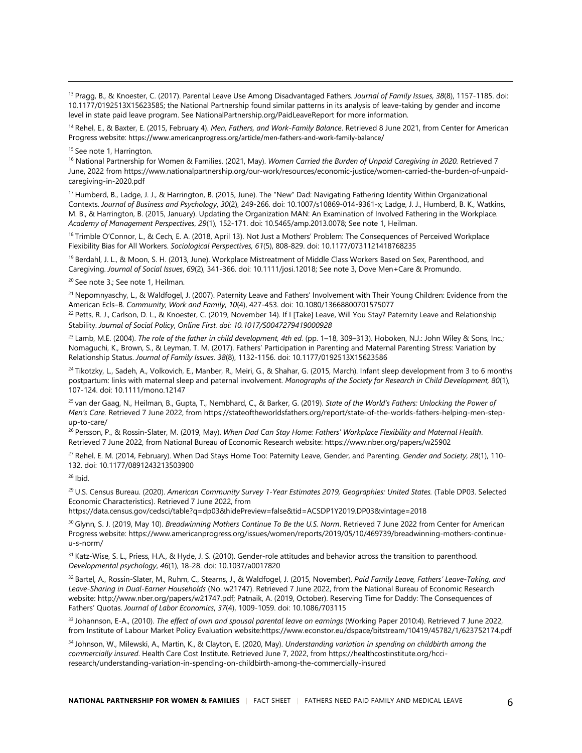<span id="page-5-0"></span><sup>13</sup> Pragg, B., & Knoester, C. (2017). Parental Leave Use Among Disadvantaged Fathers. *Journal of Family Issues*, *38*(8), 1157-1185. doi: 10.1177/0192513X15623585; the National Partnership found similar patterns in its analysis of leave-taking by gender and income level in state paid leave program. See NationalPartnership.org/PaidLeaveReport for more information.

<span id="page-5-1"></span><sup>14</sup> Rehel, E., & Baxter, E. (2015, February 4). *Men, Fathers, and Work-Family Balance*. Retrieved 8 June 2021, from Center for American Progress website: https://www.americanprogress.org/article/men-fathers-and-work-family-balance/

<span id="page-5-2"></span><sup>15</sup> See note 1, Harrington.

<span id="page-5-3"></span><sup>16</sup> National Partnership for Women & Families. (2021, May). *Women Carried the Burden of Unpaid Caregiving in 2020.* Retrieved 7 June, 2022 from https://www.nationalpartnership.org/our-work/resources/economic-justice/women-carried-the-burden-of-unpaidcaregiving-in-2020.pdf

<span id="page-5-4"></span><sup>17</sup> Humberd, B., Ladge, J. J., & Harrington, B. (2015, June). The "New" Dad: Navigating Fathering Identity Within Organizational Contexts. *Journal of Business and Psychology*, *30*(2), 249-266. doi: 10.1007/s10869-014-9361-x; Ladge, J. J., Humberd, B. K., Watkins, M. B., & Harrington, B. (2015, January). Updating the Organization MAN: An Examination of Involved Fathering in the Workplace. *Academy of Management Perspectives*, *29*(1), 152-171. doi: 10.5465/amp.2013.0078; See note 1, Heilman.

<span id="page-5-5"></span><sup>18</sup> Trimble O'Connor, L., & Cech, E. A. (2018, April 13). Not Just a Mothers' Problem: The Consequences of Perceived Workplace Flexibility Bias for All Workers. *Sociological Perspectives, 61*(5), 808-829. doi: 10.1177/0731121418768235

<span id="page-5-6"></span><sup>19</sup> Berdahl, J. L., & Moon, S. H. (2013, June). Workplace Mistreatment of Middle Class Workers Based on Sex, Parenthood, and Caregiving. *Journal of Social Issues*, *69*(2), 341-366. doi: 10.1111/josi.12018; See note 3, Dove Men+Care & Promundo.

<span id="page-5-7"></span><sup>20</sup> See note 3.; See note 1, Heilman.

<span id="page-5-8"></span><sup>21</sup> Nepomnyaschy, L., & Waldfogel, J. (2007). Paternity Leave and Fathers' Involvement with Their Young Children: Evidence from the American Ecls–B. *Community, Work and Family*, *10*(4), 427-453. doi: 10.1080/13668800701575077

<span id="page-5-9"></span><sup>22</sup> Petts, R. J., Carlson, D. L., & Knoester, C. (2019, November 14). If I [Take] Leave, Will You Stay? Paternity Leave and Relationship Stability. *Journal of Social Policy*, *Online First. doi: 10.1017/S0047279419000928*

<span id="page-5-10"></span><sup>23</sup> Lamb, M.E. (2004). *The role of the father in child development, 4th ed.* (pp. 1–18, 309–313). Hoboken, N.J.: John Wiley & Sons, Inc.; Nomaguchi, K., Brown, S., & Leyman, T. M. (2017). Fathers' Participation in Parenting and Maternal Parenting Stress: Variation by Relationship Status. *Journal of Family Issues*. *38*(8), 1132-1156. doi: 10.1177/0192513X15623586

<span id="page-5-11"></span><sup>24</sup> Tikotzky, L., Sadeh, A., Volkovich, E., Manber, R., Meiri, G., & Shahar, G. (2015, March). Infant sleep development from 3 to 6 months postpartum: links with maternal sleep and paternal involvement. *Monographs of the Society for Research in Child Development, 80*(1), 107-124. doi: 10.1111/mono.12147

<span id="page-5-12"></span><sup>25</sup> van der Gaag, N., Heilman, B., Gupta, T., Nembhard, C., & Barker, G. (2019). *State of the World's Fathers: Unlocking the Power of Men's Care.* Retrieved 7 June 2022, fro[m https://stateoftheworldsfathers.org/report/state-of-the-worlds-fathers-helping-men-step](https://stateoftheworldsfathers.org/report/state-of-the-worlds-fathers-helping-men-step-up-to-care/)[up-to-care/](https://stateoftheworldsfathers.org/report/state-of-the-worlds-fathers-helping-men-step-up-to-care/)

<span id="page-5-13"></span><sup>26</sup> Persson, P., & Rossin-Slater, M. (2019, May). *When Dad Can Stay Home: Fathers' Workplace Flexibility and Maternal Health*. Retrieved 7 June 2022, from National Bureau of Economic Research website: https://www.nber.org/papers/w25902

<span id="page-5-14"></span><sup>27</sup> Rehel, E. M. (2014, February). When Dad Stays Home Too: Paternity Leave, Gender, and Parenting. *Gender and Society*, *28*(1), 110- 132. doi: 10.1177/0891243213503900

<span id="page-5-15"></span> $28$  Ibid.

<span id="page-5-16"></span><sup>29</sup> U.S. Census Bureau. (2020). American Community Survey 1-Year Estimates 2019, Geographies: United States. (Table DP03. Selected Economic Characteristics). Retrieved 7 June 2022, from

https://data.census.gov/cedsci/table?q=dp03&hidePreview=false&tid=ACSDP1Y2019.DP03&vintage=2018

<span id="page-5-17"></span><sup>30</sup> Glynn, S. J. (2019, May 10). *Breadwinning Mothers Continue To Be the U.S. Norm*. Retrieved 7 June 2022 from Center for American Progress website[: https://www.americanprogress.org/issues/women/reports/2019/05/10/469739/breadwinning-mothers-continue](https://www.americanprogress.org/issues/women/reports/2019/05/10/469739/breadwinning-mothers-continue-u-s-norm/)[u-s-norm/](https://www.americanprogress.org/issues/women/reports/2019/05/10/469739/breadwinning-mothers-continue-u-s-norm/) 

<span id="page-5-18"></span>31 Katz-Wise, S. L., Priess, H.A., & Hyde, J. S. (2010). Gender-role attitudes and behavior across the transition to parenthood. *Developmental psychology*, *46*(1), 18-28. doi: 10.1037/a0017820

<span id="page-5-19"></span><sup>32</sup> Bartel, A., Rossin-Slater, M., Ruhm, C., Stearns, J., & Waldfogel, J. (2015, November). *Paid Family Leave, Fathers' Leave-Taking, and Leave-Sharing in Dual-Earner Households* (No. w21747). Retrieved 7 June 2022, from the National Bureau of Economic Research website: http://www.nber.org/papers/w21747.pdf; Patnaik, A. (2019, October). Reserving Time for Daddy: The Consequences of Fathers' Quotas. *Journal of Labor Economics*, *37*(4), 1009-1059. doi: 10.1086/703115

<span id="page-5-20"></span><sup>33</sup> Johannson, E-A., (2010). *The effect of own and spousal parental leave on earnings* (Working Paper 2010:4). Retrieved 7 June 2022, from Institute of Labour Market Policy Evaluation websit[e:https://www.econstor.eu/dspace/bitstream/10419/45782/1/623752174.pdf](https://www.econstor.eu/dspace/bitstream/10419/45782/1/623752174.pdf)

<span id="page-5-21"></span><sup>34</sup> Johnson, W., Milewski, A., Martin, K., & Clayton, E. (2020, May). *Understanding variation in spending on childbirth among the commercially insured*. Health Care Cost Institute. Retrieved June 7, 2022, from https://healthcostinstitute.org/hcciresearch/understanding-variation-in-spending-on-childbirth-among-the-commercially-insured